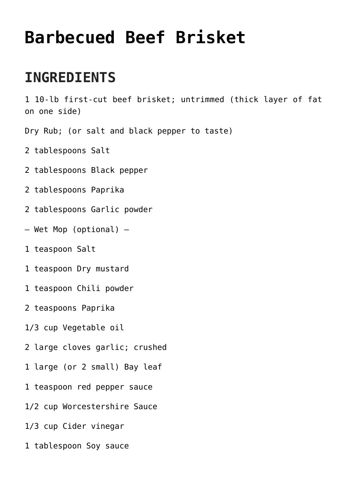## **[Barbecued Beef Brisket](https://www.mamamiarecipes.com/barbecued-beef-brisket/)**

## **INGREDIENTS**

1 10-lb first-cut beef brisket; untrimmed (thick layer of fat on one side)

Dry Rub; (or salt and black pepper to taste)

- 2 tablespoons Salt
- 2 tablespoons Black pepper
- 2 tablespoons Paprika
- 2 tablespoons Garlic powder
- Wet Mop (optional) —
- 1 teaspoon Salt
- 1 teaspoon Dry mustard
- 1 teaspoon Chili powder
- 2 teaspoons Paprika
- 1/3 cup Vegetable oil
- 2 large cloves garlic; crushed
- 1 large (or 2 small) Bay leaf
- 1 teaspoon red pepper sauce
- 1/2 cup Worcestershire Sauce
- 1/3 cup Cider vinegar
- 1 tablespoon Soy sauce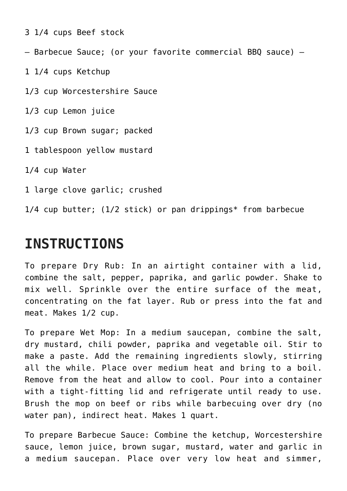- 3 1/4 cups Beef stock
- Barbecue Sauce; (or your favorite commercial BBQ sauce) —
- 1 1/4 cups Ketchup
- 1/3 cup Worcestershire Sauce
- 1/3 cup Lemon juice
- 1/3 cup Brown sugar; packed
- 1 tablespoon yellow mustard
- 1/4 cup Water
- 1 large clove garlic; crushed

1/4 cup butter; (1/2 stick) or pan drippings\* from barbecue

## **INSTRUCTIONS**

To prepare Dry Rub: In an airtight container with a lid, combine the salt, pepper, paprika, and garlic powder. Shake to mix well. Sprinkle over the entire surface of the meat, concentrating on the fat layer. Rub or press into the fat and meat. Makes 1/2 cup.

To prepare Wet Mop: In a medium saucepan, combine the salt, dry mustard, chili powder, paprika and vegetable oil. Stir to make a paste. Add the remaining ingredients slowly, stirring all the while. Place over medium heat and bring to a boil. Remove from the heat and allow to cool. Pour into a container with a tight-fitting lid and refrigerate until ready to use. Brush the mop on beef or ribs while barbecuing over dry (no water pan), indirect heat. Makes 1 quart.

To prepare Barbecue Sauce: Combine the ketchup, Worcestershire sauce, lemon juice, brown sugar, mustard, water and garlic in a medium saucepan. Place over very low heat and simmer,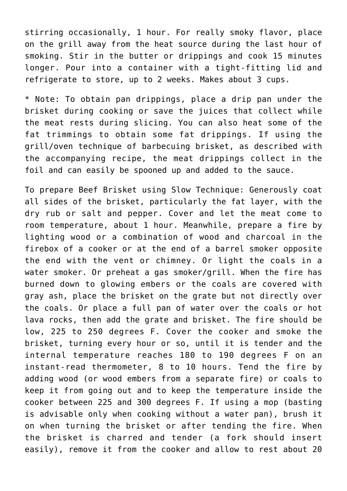stirring occasionally, 1 hour. For really smoky flavor, place on the grill away from the heat source during the last hour of smoking. Stir in the butter or drippings and cook 15 minutes longer. Pour into a container with a tight-fitting lid and refrigerate to store, up to 2 weeks. Makes about 3 cups.

\* Note: To obtain pan drippings, place a drip pan under the brisket during cooking or save the juices that collect while the meat rests during slicing. You can also heat some of the fat trimmings to obtain some fat drippings. If using the grill/oven technique of barbecuing brisket, as described with the accompanying recipe, the meat drippings collect in the foil and can easily be spooned up and added to the sauce.

To prepare Beef Brisket using Slow Technique: Generously coat all sides of the brisket, particularly the fat layer, with the dry rub or salt and pepper. Cover and let the meat come to room temperature, about 1 hour. Meanwhile, prepare a fire by lighting wood or a combination of wood and charcoal in the firebox of a cooker or at the end of a barrel smoker opposite the end with the vent or chimney. Or light the coals in a water smoker. Or preheat a gas smoker/grill. When the fire has burned down to glowing embers or the coals are covered with gray ash, place the brisket on the grate but not directly over the coals. Or place a full pan of water over the coals or hot lava rocks, then add the grate and brisket. The fire should be low, 225 to 250 degrees F. Cover the cooker and smoke the brisket, turning every hour or so, until it is tender and the internal temperature reaches 180 to 190 degrees F on an instant-read thermometer, 8 to 10 hours. Tend the fire by adding wood (or wood embers from a separate fire) or coals to keep it from going out and to keep the temperature inside the cooker between 225 and 300 degrees F. If using a mop (basting is advisable only when cooking without a water pan), brush it on when turning the brisket or after tending the fire. When the brisket is charred and tender (a fork should insert easily), remove it from the cooker and allow to rest about 20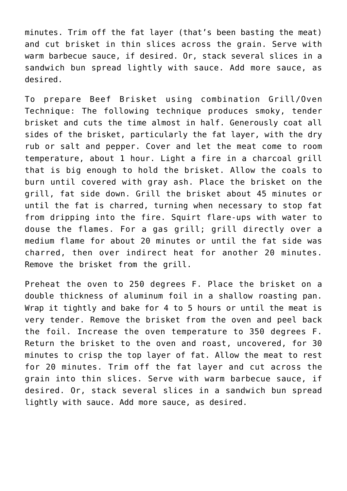minutes. Trim off the fat layer (that's been basting the meat) and cut brisket in thin slices across the grain. Serve with warm barbecue sauce, if desired. Or, stack several slices in a sandwich bun spread lightly with sauce. Add more sauce, as desired.

To prepare Beef Brisket using combination Grill/Oven Technique: The following technique produces smoky, tender brisket and cuts the time almost in half. Generously coat all sides of the brisket, particularly the fat layer, with the dry rub or salt and pepper. Cover and let the meat come to room temperature, about 1 hour. Light a fire in a charcoal grill that is big enough to hold the brisket. Allow the coals to burn until covered with gray ash. Place the brisket on the grill, fat side down. Grill the brisket about 45 minutes or until the fat is charred, turning when necessary to stop fat from dripping into the fire. Squirt flare-ups with water to douse the flames. For a gas grill; grill directly over a medium flame for about 20 minutes or until the fat side was charred, then over indirect heat for another 20 minutes. Remove the brisket from the grill.

Preheat the oven to 250 degrees F. Place the brisket on a double thickness of aluminum foil in a shallow roasting pan. Wrap it tightly and bake for 4 to 5 hours or until the meat is very tender. Remove the brisket from the oven and peel back the foil. Increase the oven temperature to 350 degrees F. Return the brisket to the oven and roast, uncovered, for 30 minutes to crisp the top layer of fat. Allow the meat to rest for 20 minutes. Trim off the fat layer and cut across the grain into thin slices. Serve with warm barbecue sauce, if desired. Or, stack several slices in a sandwich bun spread lightly with sauce. Add more sauce, as desired.